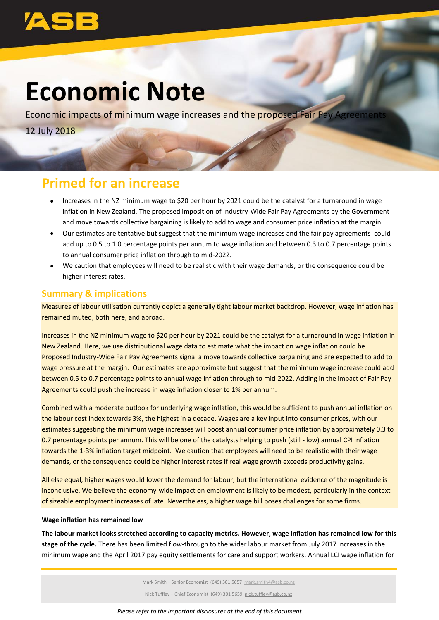# **Economic Note**

Economic impacts of minimum wage increases and the proposed Fair Pay Agreement 12 July 2018

## **Primed for an increase**

- Increases in the NZ minimum wage to \$20 per hour by 2021 could be the catalyst for a turnaround in wage inflation in New Zealand. The proposed imposition of Industry-Wide Fair Pay Agreements by the Government and move towards collective bargaining is likely to add to wage and consumer price inflation at the margin.
- Our estimates are tentative but suggest that the minimum wage increases and the fair pay agreements could add up to 0.5 to 1.0 percentage points per annum to wage inflation and between 0.3 to 0.7 percentage points to annual consumer price inflation through to mid-2022.
- We caution that employees will need to be realistic with their wage demands, or the consequence could be higher interest rates.

## **Summary & implications**

Measures of labour utilisation currently depict a generally tight labour market backdrop. However, wage inflation has remained muted, both here, and abroad.

Increases in the NZ minimum wage to \$20 per hour by 2021 could be the catalyst for a turnaround in wage inflation in New Zealand. Here, we use distributional wage data to estimate what the impact on wage inflation could be. Proposed Industry-Wide Fair Pay Agreements signal a move towards collective bargaining and are expected to add to wage pressure at the margin. Our estimates are approximate but suggest that the minimum wage increase could add between 0.5 to 0.7 percentage points to annual wage inflation through to mid-2022. Adding in the impact of Fair Pay Agreements could push the increase in wage inflation closer to 1% per annum.

Combined with a moderate outlook for underlying wage inflation, this would be sufficient to push annual inflation on the labour cost index towards 3%, the highest in a decade. Wages are a key input into consumer prices, with our estimates suggesting the minimum wage increases will boost annual consumer price inflation by approximately 0.3 to 0.7 percentage points per annum. This will be one of the catalysts helping to push (still - low) annual CPI inflation towards the 1-3% inflation target midpoint. We caution that employees will need to be realistic with their wage demands, or the consequence could be higher interest rates if real wage growth exceeds productivity gains.

All else equal, higher wages would lower the demand for labour, but the international evidence of the magnitude is inconclusive. We believe the economy-wide impact on employment is likely to be modest, particularly in the context of sizeable employment increases of late. Nevertheless, a higher wage bill poses challenges for some firms.

## **Wage inflation has remained low**

**The labour market looks stretched according to capacity metrics. However, wage inflation has remained low for this stage of the cycle.** There has been limited flow-through to the wider labour market from July 2017 increases in the minimum wage and the April 2017 pay equity settlements for care and support workers. Annual LCI wage inflation for

Mark Smith – Senior Economist (649) 301 5657 [mark.smith4@asb.co.nz](mailto:mark.smith4@asb.co.nz)

Nick Tuffley – Chief Economist (649) 301 5659 nick.tuffley@asb.co.nz

### *Please refer to the important disclosures at the end of this document.*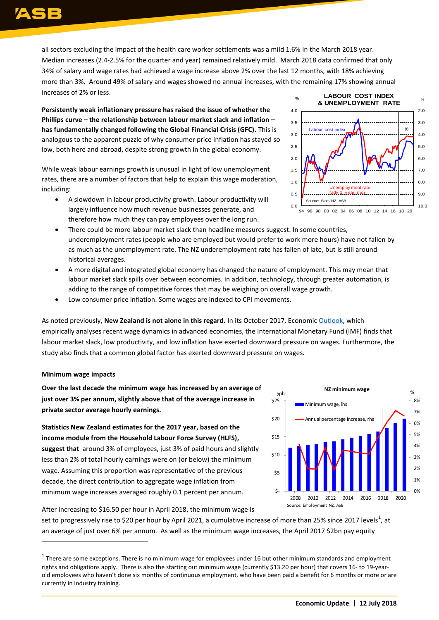all sectors excluding the impact of the health care worker settlements was a mild 1.6% in the March 2018 year. Median increases (2.4-2.5% for the quarter and year) remained relatively mild. March 2018 data confirmed that only 34% of salary and wage rates had achieved a wage increase above 2% over the last 12 months, with 18% achieving more than 3%. Around 49% of salary and wages showed no annual increases, with the remaining 17% showing annual increases of 2% or less.

**Persistently weak inflationary pressure has raised the issue of whether the Phillips curve – the relationship between labour market slack and inflation – has fundamentally changed following the Global Financial Crisis (GFC).** This is analogous to the apparent puzzle of why consumer price inflation has stayed so low, both here and abroad, despite strong growth in the global economy.

While weak labour earnings growth is unusual in light of low unemployment rates, there are a number of factors that help to explain this wage moderation, including:

 A slowdown in labour productivity growth. Labour productivity will largely influence how much revenue businesses generate, and therefore how much they can pay employees over the long run.



- There could be more labour market slack than headline measures suggest. In some countries, underemployment rates (people who are employed but would prefer to work more hours) have not fallen by as much as the unemployment rate. The NZ underemployment rate has fallen of late, but is still around historical averages.
- A more digital and integrated global economy has changed the nature of employment. This may mean that labour market slack spills over between economies. In addition, technology, through greater automation, is adding to the range of competitive forces that may be weighing on overall wage growth.
- Low consumer price inflation. Some wages are indexed to CPI movements.

As noted previously, **New Zealand is not alone in this regard.** In its October 2017, Economi[c Outlook,](https://www.imf.org/en/Publications/WEO/Issues/2017/09/19/world-economic-outlook-october-2017) which empirically analyses recent wage dynamics in advanced economies, the International Monetary Fund (IMF) finds that labour market slack, low productivity, and low inflation have exerted downward pressure on wages. Furthermore, the study also finds that a common global factor has exerted downward pressure on wages.

## **Minimum wage impacts**

 $\overline{a}$ 

**Over the last decade the minimum wage has increased by an average of just over 3% per annum, slightly above that of the average increase in private sector average hourly earnings.**

**Statistics New Zealand estimates for the 2017 year, based on the income module from the Household Labour Force Survey (HLFS), suggest that** around 3% of employees, just 3% of paid hours and slightly less than 2% of total hourly earnings were on (or below) the minimum wage. Assuming this proportion was representative of the previous decade, the direct contribution to aggregate wage inflation from minimum wage increases averaged roughly 0.1 percent per annum.



After increasing to \$16.50 per hour in April 2018, the minimum wage is

set to progressively rise to \$20 per hour by April 2021, a cumulative increase of more than 25% since 2017 levels<sup>1</sup>, at an average of just over 6% per annum. As well as the minimum wage increases, the April 2017 \$2bn pay equity

 $^1$  There are some exceptions. There is no minimum wage for employees under 16 but other minimum standards and employment rights and obligations apply. There is also the starting out minimum wage (currently \$13.20 per hour) that covers 16- to 19-yearold employees who haven't done six months of continuous employment, who have been paid a benefit for 6 months or more or are currently in industry training.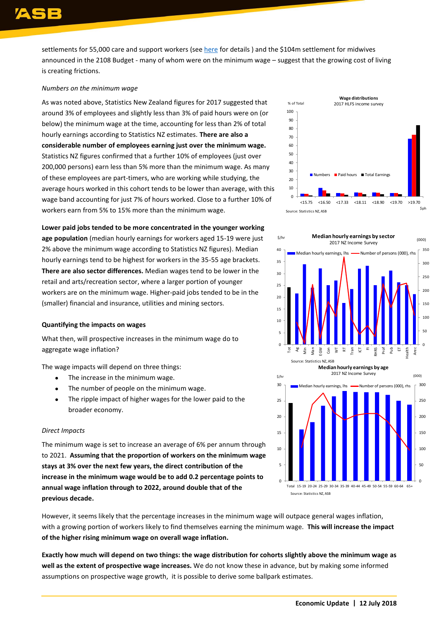settlements for 55,000 care and support workers (see [here](https://www.msd.govt.nz/documents/about-msd-and-our-work/newsroom/media-releases/2017/pay-equity-factsheet-110717.pdf) for details ) and the \$104m settlement for midwives announced in the 2108 Budget - many of whom were on the minimum wage – suggest that the growing cost of living is creating frictions.

## *Numbers on the minimum wage*

As was noted above, Statistics New Zealand figures for 2017 suggested that around 3% of employees and slightly less than 3% of paid hours were on (or below) the minimum wage at the time, accounting for less than 2% of total hourly earnings according to Statistics NZ estimates. **There are also a considerable number of employees earning just over the minimum wage.**  Statistics NZ figures confirmed that a further 10% of employees (just over 200,000 persons) earn less than 5% more than the minimum wage. As many of these employees are part-timers, who are working while studying, the average hours worked in this cohort tends to be lower than average, with this wage band accounting for just 7% of hours worked. Close to a further 10% of workers earn from 5% to 15% more than the minimum wage.

### **Lower paid jobs tended to be more concentrated in the younger working**

**age population** (median hourly earnings for workers aged 15-19 were just 2% above the minimum wage according to Statistics NZ figures). Median hourly earnings tend to be highest for workers in the 35-55 age brackets. **There are also sector differences.** Median wages tend to be lower in the retail and arts/recreation sector, where a larger portion of younger workers are on the minimum wage. Higher-paid jobs tended to be in the (smaller) financial and insurance, utilities and mining sectors.

#### **Quantifying the impacts on wages**

What then, will prospective increases in the minimum wage do to aggregate wage inflation?

The wage impacts will depend on three things:

- The increase in the minimum wage.
- The number of people on the minimum wage.
- The ripple impact of higher wages for the lower paid to the broader economy.

#### *Direct Impacts*

The minimum wage is set to increase an average of 6% per annum through to 2021. **Assuming that the proportion of workers on the minimum wage stays at 3% over the next few years, the direct contribution of the increase in the minimum wage would be to add 0.2 percentage points to annual wage inflation through to 2022, around double that of the previous decade.** 

However, it seems likely that the percentage increases in the minimum wage will outpace general wages inflation, with a growing portion of workers likely to find themselves earning the minimum wage. **This will increase the impact of the higher rising minimum wage on overall wage inflation.** 

**Exactly how much will depend on two things: the wage distribution for cohorts slightly above the minimum wage as well as the extent of prospective wage increases.** We do not know these in advance, but by making some informed assumptions on prospective wage growth, it is possible to derive some ballpark estimates.



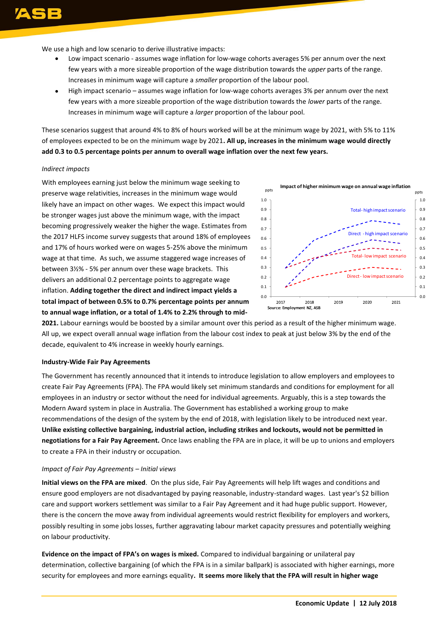We use a high and low scenario to derive illustrative impacts:

- Low impact scenario assumes wage inflation for low-wage cohorts averages 5% per annum over the next few years with a more sizeable proportion of the wage distribution towards the *upper* parts of the range. Increases in minimum wage will capture a *smaller* proportion of the labour pool.
- High impact scenario assumes wage inflation for low-wage cohorts averages 3% per annum over the next few years with a more sizeable proportion of the wage distribution towards the *lower* parts of the range. Increases in minimum wage will capture a *larger* proportion of the labour pool.

These scenarios suggest that around 4% to 8% of hours worked will be at the minimum wage by 2021, with 5% to 11% of employees expected to be on the minimum wage by 2021**. All up, increases in the minimum wage would directly add 0.3 to 0.5 percentage points per annum to overall wage inflation over the next few years.**

#### *Indirect impacts*

With employees earning just below the minimum wage seeking to preserve wage relativities, increases in the minimum wage would likely have an impact on other wages. We expect this impact would be stronger wages just above the minimum wage, with the impact becoming progressively weaker the higher the wage. Estimates from the 2017 HLFS income survey suggests that around 18% of employees and 17% of hours worked were on wages 5-25% above the minimum wage at that time. As such, we assume staggered wage increases of between 3½% - 5% per annum over these wage brackets. This delivers an additional 0.2 percentage points to aggregate wage inflation. **Adding together the direct and indirect impact yields a total impact of between 0.5% to 0.7% percentage points per annum to annual wage inflation, or a total of 1.4% to 2.2% through to mid-**



**2021.** Labour earnings would be boosted by a similar amount over this period as a result of the higher minimum wage. All up, we expect overall annual wage inflation from the labour cost index to peak at just below 3% by the end of the decade, equivalent to 4% increase in weekly hourly earnings.

#### **Industry-Wide Fair Pay Agreements**

The Government has recently announced that it intends to introduce legislation to allow employers and employees to create Fair Pay Agreements (FPA). The FPA would likely set minimum standards and conditions for employment for all employees in an industry or sector without the need for individual agreements. Arguably, this is a step towards the Modern Award system in place in Australia. The Government has established a working group to make recommendations of the design of the system by the end of 2018, with legislation likely to be introduced next year. **Unlike existing collective bargaining, industrial action, including strikes and lockouts, would not be permitted in negotiations for a Fair Pay Agreement.** Once laws enabling the FPA are in place, it will be up to unions and employers to create a FPA in their industry or occupation.

#### *Impact of Fair Pay Agreements – Initial views*

**Initial views on the FPA are mixed**. On the plus side, Fair Pay Agreements will help lift wages and conditions and ensure good employers are not disadvantaged by paying reasonable, industry-standard wages. Last year's \$2 billion care and support workers settlement was similar to a Fair Pay Agreement and it had huge public support. However, there is the concern the move away from individual agreements would restrict flexibility for employers and workers, possibly resulting in some jobs losses, further aggravating labour market capacity pressures and potentially weighing on labour productivity.

**Evidence on the impact of FPA's on wages is mixed.** Compared to individual bargaining or unilateral pay determination, collective bargaining (of which the FPA is in a similar ballpark) is associated with higher earnings, more security for employees and more earnings equality**. It seems more likely that the FPA will result in higher wage**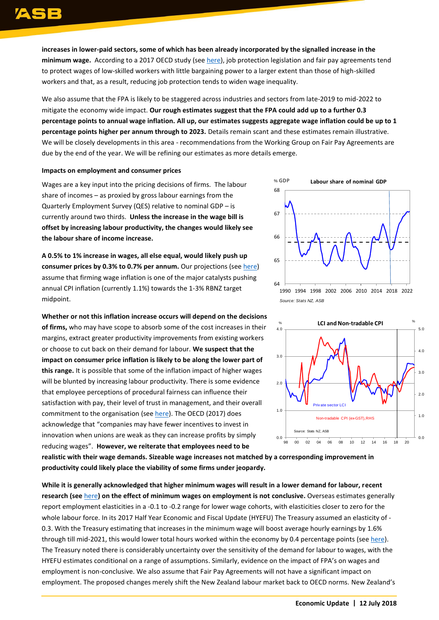**increases in lower-paid sectors, some of which has been already incorporated by the signalled increase in the minimum wage.** According to a 2017 OECD study (se[e here\)](https://www.union.org.nz/wp-content/uploads/2018/04/NZCTU-Employment-Relations-Amendment-Bill-2018-Final.pdf), job protection legislation and fair pay agreements tend to protect wages of low-skilled workers with little bargaining power to a larger extent than those of high-skilled workers and that, as a result, reducing job protection tends to widen wage inequality.

We also assume that the FPA is likely to be staggered across industries and sectors from late-2019 to mid-2022 to mitigate the economy wide impact. **Our rough estimates suggest that the FPA could add up to a further 0.3 percentage points to annual wage inflation. All up, our estimates suggests aggregate wage inflation could be up to 1 percentage points higher per annum through to 2023.** Details remain scant and these estimates remain illustrative. We will be closely developments in this area - recommendations from the Working Group on Fair Pay Agreements are due by the end of the year. We will be refining our estimates as more details emerge.

### **Impacts on employment and consumer prices**

Wages are a key input into the pricing decisions of firms. The labour share of incomes – as proxied by gross labour earnings from the Quarterly Employment Survey (QES) relative to nominal GDP – is currently around two thirds. **Unless the increase in the wage bill is offset by increasing labour productivity, the changes would likely see the labour share of income increase.** 

**A 0.5% to 1% increase in wages, all else equal, would likely push up consumer prices by 0.3% to 0.7% per annum.** Our projections (see [here\)](https://www.asb.co.nz/content/dam/asb/documents/reports/quarterly-economic-forecasts/quarterly_economic_forecasts_may_2018.pdf) assume that firming wage inflation is one of the major catalysts pushing annual CPI inflation (currently 1.1%) towards the 1-3% RBNZ target midpoint.

**Whether or not this inflation increase occurs will depend on the decisions of firms,** who may have scope to absorb some of the cost increases in their margins, extract greater productivity improvements from existing workers or choose to cut back on their demand for labour. **We suspect that the impact on consumer price inflation is likely to be along the lower part of this range.** It is possible that some of the inflation impact of higher wages will be blunted by increasing labour productivity. There is some evidence that employee perceptions of procedural fairness can influence their satisfaction with pay, their level of trust in management, and their overall commitment to the organisation (se[e here\)](http://www.nap.edu/read/1751/chapter/7#95). The OECD (2017) does acknowledge that "companies may have fewer incentives to invest in innovation when unions are weak as they can increase profits by simply reducing wages". **However, we reiterate that employees need to be** 



*Source: Stats NZ, ASB*



**realistic with their wage demands. Sizeable wage increases not matched by a corresponding improvement in productivity could likely place the viability of some firms under jeopardy.**

**While it is generally acknowledged that higher minimum wages will result in a lower demand for labour, recent research (see** [here](https://www.frbsf.org/economic-research/publications/economic-letter/2015/december/effects-of-minimum-wage-on-employment/)**) on the effect of minimum wages on employment is not conclusive.** Overseas estimates generally report employment elasticities in a -0.1 to -0.2 range for lower wage cohorts, with elasticities closer to zero for the whole labour force. In its 2017 Half Year Economic and Fiscal Update [\(HYEFU\)](https://treasury.govt.nz/publications/efu/half-year-economic-and-fiscal-update-2017-html) The Treasury assumed an elasticity of - 0.3. With the Treasury estimating that increases in the minimum wage will boost average hourly earnings by 1.6% through till mid-2021, this would lower total hours worked within the economy by 0.4 percentage points (see [here\)](https://treasury.govt.nz/publications/efu/half-year-economic-and-fiscal-update-2017-html). The Treasury noted there is considerably uncertainty over the sensitivity of the demand for labour to wages, with the HYEFU estimates conditional on a range of assumptions. Similarly, evidence on the impact of FPA's on wages and employment is non-conclusive. We also assume that Fair Pay Agreements will not have a significant impact on employment. The proposed changes merely shift the New Zealand labour market back to OECD norms. New Zealand's